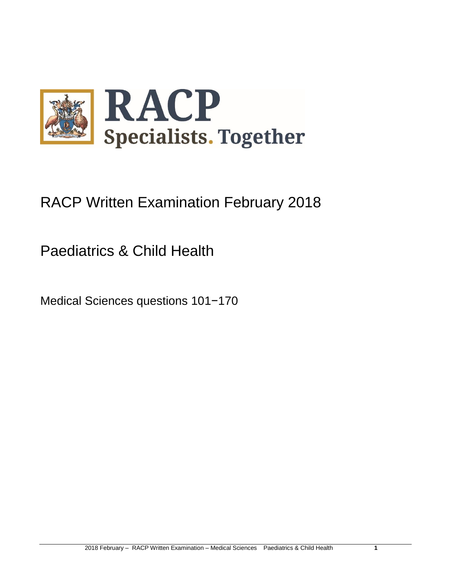

## RACP Written Examination February 2018

## Paediatrics & Child Health

Medical Sciences questions 101−170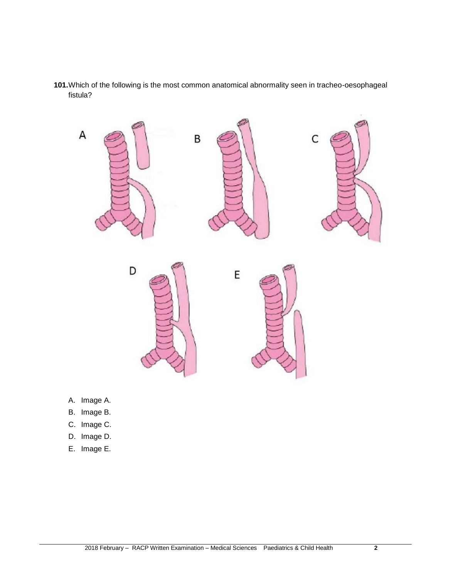**101.**Which of the following is the most common anatomical abnormality seen in tracheo-oesophageal fistula?



- A. Image A.
- B. Image B.
- C. Image C.
- D. Image D.
- E. Image E.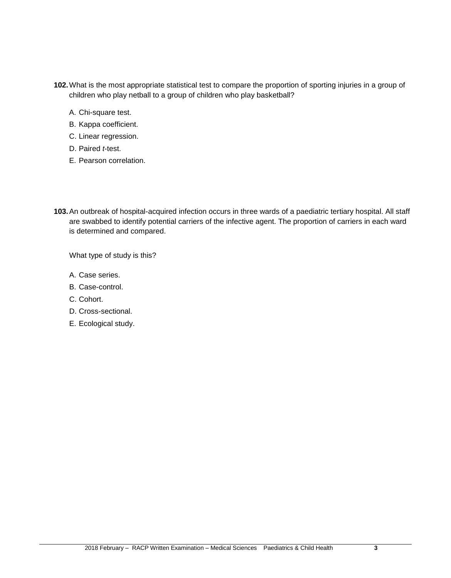- **102.**What is the most appropriate statistical test to compare the proportion of sporting injuries in a group of children who play netball to a group of children who play basketball?
	- A. Chi-square test.
	- B. Kappa coefficient.
	- C. Linear regression.
	- D. Paired *t*-test.
	- E. Pearson correlation.
- **103.**An outbreak of hospital-acquired infection occurs in three wards of a paediatric tertiary hospital. All staff are swabbed to identify potential carriers of the infective agent. The proportion of carriers in each ward is determined and compared.

What type of study is this?

- A. Case series.
- B. Case-control.
- C. Cohort.
- D. Cross-sectional.
- E. Ecological study.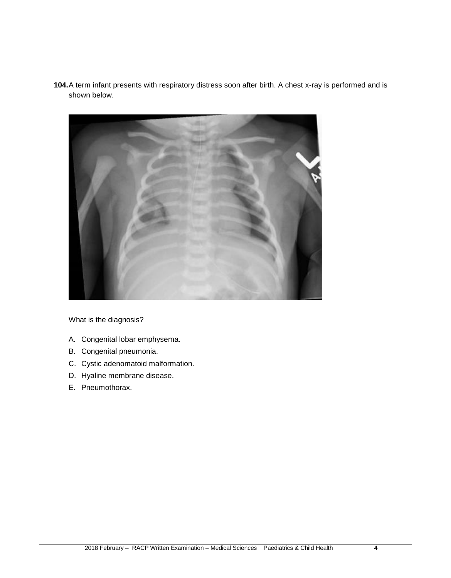**104.**A term infant presents with respiratory distress soon after birth. A chest x-ray is performed and is shown below.



What is the diagnosis?

- A. Congenital lobar emphysema.
- B. Congenital pneumonia.
- C. Cystic adenomatoid malformation.
- D. Hyaline membrane disease.
- E. Pneumothorax.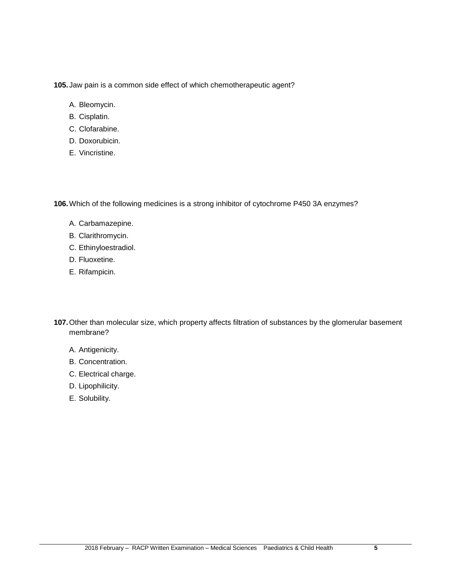**105.**Jaw pain is a common side effect of which chemotherapeutic agent?

- A. Bleomycin.
- B. Cisplatin.
- C. Clofarabine.
- D. Doxorubicin.
- E. Vincristine.

**106.**Which of the following medicines is a strong inhibitor of cytochrome P450 3A enzymes?

- A. Carbamazepine.
- B. Clarithromycin.
- C. Ethinyloestradiol.
- D. Fluoxetine.
- E. Rifampicin.
- **107.**Other than molecular size, which property affects filtration of substances by the glomerular basement membrane?
	- A. Antigenicity.
	- B. Concentration.
	- C. Electrical charge.
	- D. Lipophilicity.
	- E. Solubility.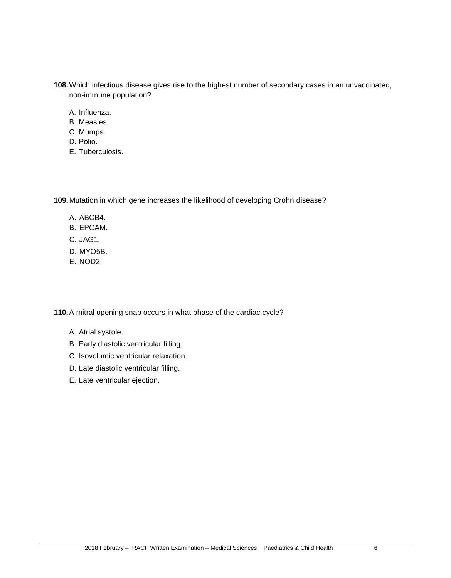- **108.**Which infectious disease gives rise to the highest number of secondary cases in an unvaccinated, non-immune population?
	- A. Influenza.
	- B. Measles.
	- C. Mumps.
	- D. Polio.
	- E. Tuberculosis.

**109.**Mutation in which gene increases the likelihood of developing Crohn disease?

- A. ABCB4.
- B. EPCAM.
- C. JAG1.
- D. MYO5B.
- E. NOD2.

**110.**A mitral opening snap occurs in what phase of the cardiac cycle?

- A. Atrial systole.
- B. Early diastolic ventricular filling.
- C. Isovolumic ventricular relaxation.
- D. Late diastolic ventricular filling.
- E. Late ventricular ejection.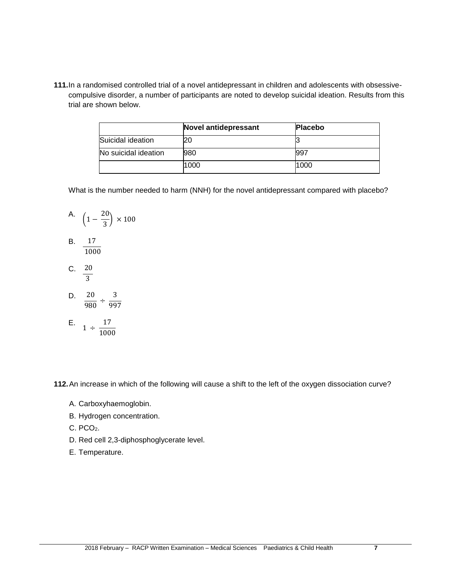**111.**In a randomised controlled trial of a novel antidepressant in children and adolescents with obsessivecompulsive disorder, a number of participants are noted to develop suicidal ideation. Results from this trial are shown below.

|                      | <b>Novel antidepressant</b> | <b>Placebo</b> |
|----------------------|-----------------------------|----------------|
| Suicidal ideation    |                             |                |
| No suicidal ideation | 980                         | 997            |
|                      | 1000                        | 1000           |

What is the number needed to harm (NNH) for the novel antidepressant compared with placebo?

A. 
$$
\left(1-\frac{20}{3}\right) \times 100
$$

B. 
$$
\frac{17}{1000}
$$

C. 
$$
\frac{20}{3}
$$

D. 
$$
\frac{20}{980} \div \frac{3}{997}
$$

$$
E. \quad 1 \div \frac{17}{1000}
$$

**112.**An increase in which of the following will cause a shift to the left of the oxygen dissociation curve?

- A. Carboxyhaemoglobin.
- B. Hydrogen concentration.
- C. PCO2.
- D. Red cell 2,3-diphosphoglycerate level.
- E. Temperature.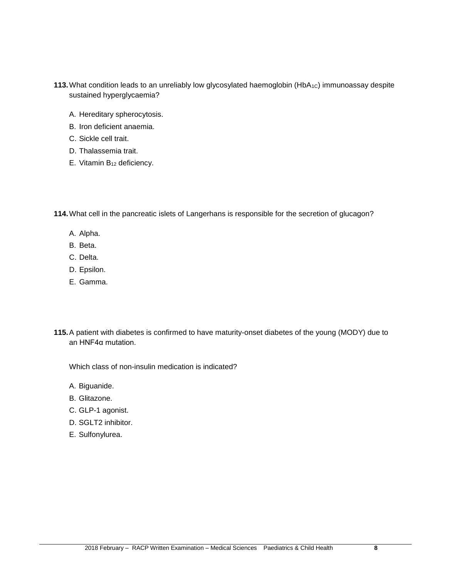- **113.**What condition leads to an unreliably low glycosylated haemoglobin (HbA1C) immunoassay despite sustained hyperglycaemia?
	- A. Hereditary spherocytosis.
	- B. Iron deficient anaemia.
	- C. Sickle cell trait.
	- D. Thalassemia trait.
	- E. Vitamin B<sup>12</sup> deficiency.

**114.**What cell in the pancreatic islets of Langerhans is responsible for the secretion of glucagon?

- A. Alpha.
- B. Beta.
- C. Delta.
- D. Epsilon.
- E. Gamma.
- **115.**A patient with diabetes is confirmed to have maturity-onset diabetes of the young (MODY) due to an HNF4α mutation.

Which class of non-insulin medication is indicated?

- A. Biguanide.
- B. Glitazone.
- C. GLP-1 agonist.
- D. SGLT2 inhibitor.
- E. Sulfonylurea.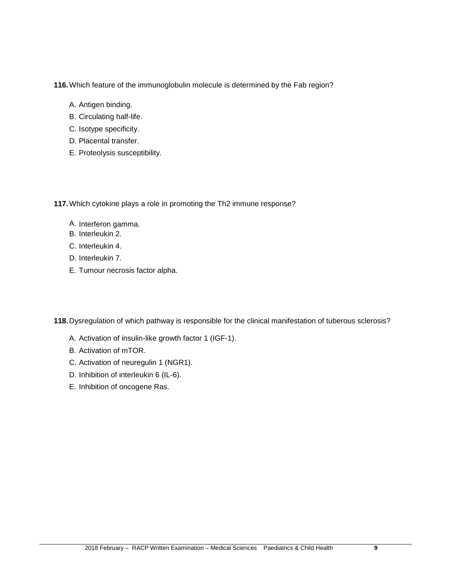**116.**Which feature of the immunoglobulin molecule is determined by the Fab region?

- A. Antigen binding.
- B. Circulating half-life.
- C. Isotype specificity.
- D. Placental transfer.
- E. Proteolysis susceptibility.

**117.**Which cytokine plays a role in promoting the Th2 immune response?

- A. Interferon gamma
- B. Interleukin 2.
- C. Interleukin 4.
- D. Interleukin 7.
- E. Tumour necrosis factor alpha.

**118.**Dysregulation of which pathway is responsible for the clinical manifestation of tuberous sclerosis?

- A. Activation of insulin-like growth factor 1 (IGF-1).
- B. Activation of mTOR.
- C. Activation of neuregulin 1 (NGR1).
- D. Inhibition of interleukin 6 (IL-6).
- E. Inhibition of oncogene Ras.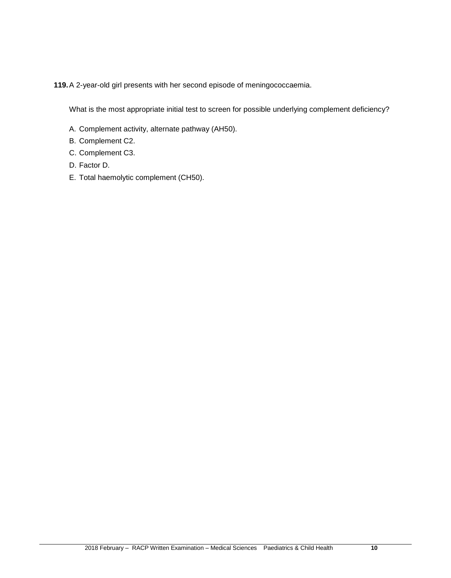**119.**A 2-year-old girl presents with her second episode of meningococcaemia.

What is the most appropriate initial test to screen for possible underlying complement deficiency?

- A. Complement activity, alternate pathway (AH50).
- B. Complement C2.
- C. Complement C3.
- D. Factor D.
- E. Total haemolytic complement (CH50).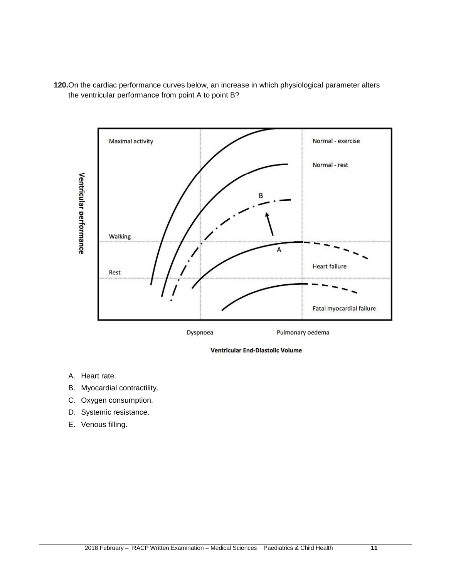

**120.**On the cardiac performance curves below, an increase in which physiological parameter alters the ventricular performance from point A to point B?

Ventricular End-Diastolic Volume

- A. Heart rate.
- B. Myocardial contractility.
- C. Oxygen consumption.
- D. Systemic resistance.
- E. Venous filling.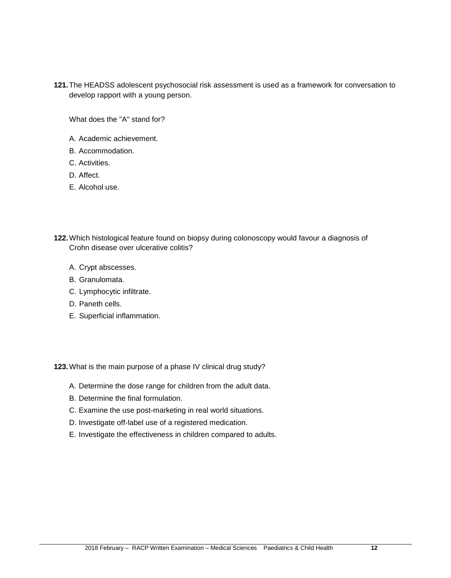**121.**The HEADSS adolescent psychosocial risk assessment is used as a framework for conversation to develop rapport with a young person.

What does the "A" stand for?

- A. Academic achievement.
- B. Accommodation.
- C. Activities.
- D. Affect.
- E. Alcohol use.
- **122.**Which histological feature found on biopsy during colonoscopy would favour a diagnosis of Crohn disease over ulcerative colitis?
	- A. Crypt abscesses.
	- B. Granulomata.
	- C. Lymphocytic infiltrate.
	- D. Paneth cells.
	- E. Superficial inflammation.

**123.**What is the main purpose of a phase IV clinical drug study?

- A. Determine the dose range for children from the adult data.
- B. Determine the final formulation.
- C. Examine the use post-marketing in real world situations.
- D. Investigate off-label use of a registered medication.
- E. Investigate the effectiveness in children compared to adults.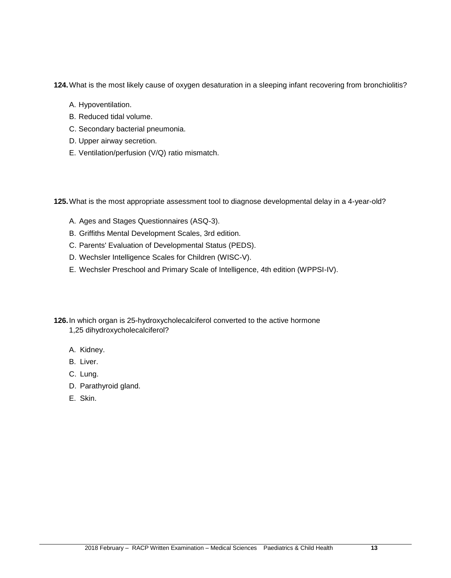**124.**What is the most likely cause of oxygen desaturation in a sleeping infant recovering from bronchiolitis?

- A. Hypoventilation.
- B. Reduced tidal volume.
- C. Secondary bacterial pneumonia.
- D. Upper airway secretion.
- E. Ventilation/perfusion (V/Q) ratio mismatch.

**125.**What is the most appropriate assessment tool to diagnose developmental delay in a 4-year-old?

- A. Ages and Stages Questionnaires (ASQ-3).
- B. Griffiths Mental Development Scales, 3rd edition.
- C. Parents' Evaluation of Developmental Status (PEDS).
- D. Wechsler Intelligence Scales for Children (WISC-V).
- E. Wechsler Preschool and Primary Scale of Intelligence, 4th edition (WPPSI-IV).
- **126.**In which organ is 25-hydroxycholecalciferol converted to the active hormone 1,25 dihydroxycholecalciferol?
	- A. Kidney.
	- B. Liver.
	- C. Lung.
	- D. Parathyroid gland.
	- E. Skin.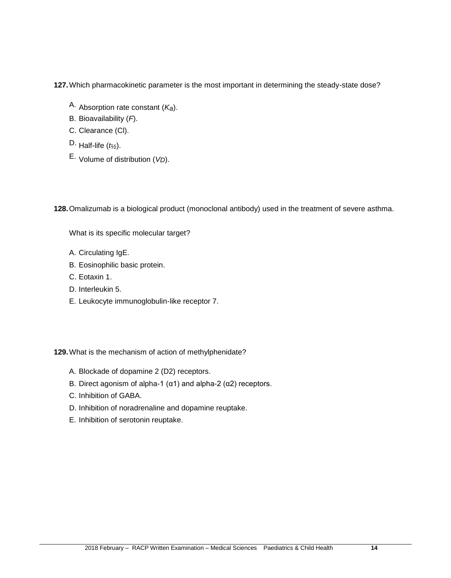**127.**Which pharmacokinetic parameter is the most important in determining the steady-state dose?

- A. Absorption rate constant (*Ka*).
- B. Bioavailability (*F*).
- C. Clearance (Cl).
- D. Half-life (*t½*).
- E. Volume of distribution (*VD*).

**128.**Omalizumab is a biological product (monoclonal antibody) used in the treatment of severe asthma.

What is its specific molecular target?

- A. Circulating IgE.
- B. Eosinophilic basic protein.
- C. Eotaxin 1.
- D. Interleukin 5.
- E. Leukocyte immunoglobulin-like receptor 7.

**129.**What is the mechanism of action of methylphenidate?

- A. Blockade of dopamine 2 (D2) receptors.
- B. Direct agonism of alpha-1 (α1) and alpha-2 (α2) receptors.
- C. Inhibition of GABA.
- D. Inhibition of noradrenaline and dopamine reuptake.
- E. Inhibition of serotonin reuptake.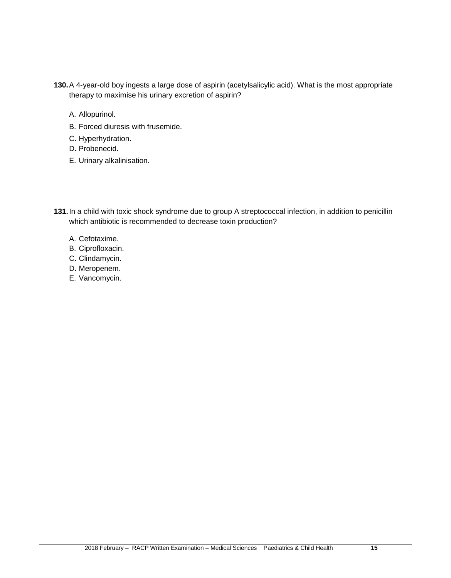- **130.**A 4-year-old boy ingests a large dose of aspirin (acetylsalicylic acid). What is the most appropriate therapy to maximise his urinary excretion of aspirin?
	- A. Allopurinol.
	- B. Forced diuresis with frusemide.
	- C. Hyperhydration.
	- D. Probenecid.
	- E. Urinary alkalinisation.
- **131.**In a child with toxic shock syndrome due to group A streptococcal infection, in addition to penicillin which antibiotic is recommended to decrease toxin production?
	- A. Cefotaxime.
	- B. Ciprofloxacin.
	- C. Clindamycin.
	- D. Meropenem.
	- E. Vancomycin.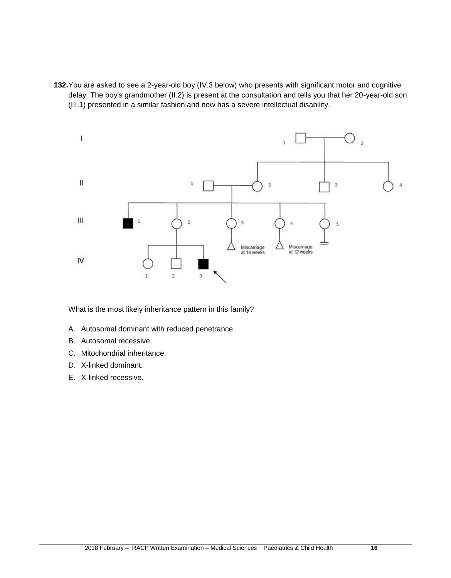**132.**You are asked to see a 2-year-old boy (IV.3 below) who presents with significant motor and cognitive delay. The boy's grandmother (II.2) is present at the consultation and tells you that her 20-year-old son (III.1) presented in a similar fashion and now has a severe intellectual disability.



What is the most likely inheritance pattern in this family?

- A. Autosomal dominant with reduced penetrance.
- B. Autosomal recessive.
- C. Mitochondrial inheritance.
- D. X-linked dominant.
- E. X-linked recessive.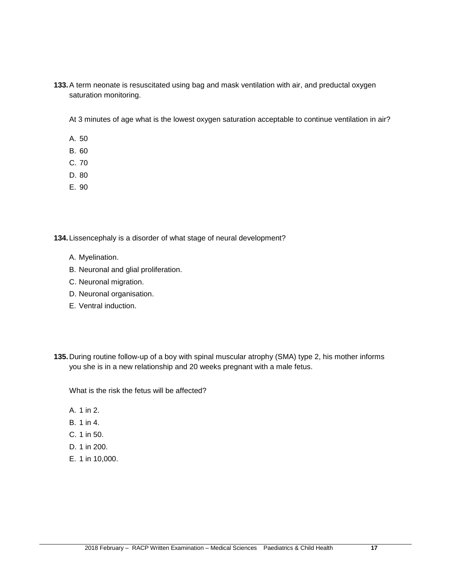**133.**A term neonate is resuscitated using bag and mask ventilation with air, and preductal oxygen saturation monitoring.

At 3 minutes of age what is the lowest oxygen saturation acceptable to continue ventilation in air?

- A. 50
- B. 60
- C. 70
- D. 80
- E. 90

**134.**Lissencephaly is a disorder of what stage of neural development?

- A. Myelination.
- B. Neuronal and glial proliferation.
- C. Neuronal migration.
- D. Neuronal organisation.
- E. Ventral induction.
- **135.**During routine follow-up of a boy with spinal muscular atrophy (SMA) type 2, his mother informs you she is in a new relationship and 20 weeks pregnant with a male fetus.

What is the risk the fetus will be affected?

- A. 1 in 2.
- B. 1 in 4.
- C. 1 in 50.
- D. 1 in 200.
- E. 1 in 10,000.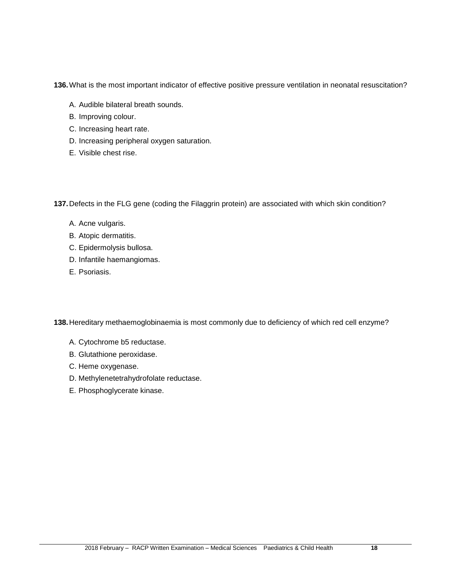**136.**What is the most important indicator of effective positive pressure ventilation in neonatal resuscitation?

- A. Audible bilateral breath sounds.
- B. Improving colour.
- C. Increasing heart rate.
- D. Increasing peripheral oxygen saturation.
- E. Visible chest rise.

**137.**Defects in the FLG gene (coding the Filaggrin protein) are associated with which skin condition?

- A. Acne vulgaris.
- B. Atopic dermatitis.
- C. Epidermolysis bullosa.
- D. Infantile haemangiomas.
- E. Psoriasis.

**138.**Hereditary methaemoglobinaemia is most commonly due to deficiency of which red cell enzyme?

- A. Cytochrome b5 reductase.
- B. Glutathione peroxidase.
- C. Heme oxygenase.
- D. Methylenetetrahydrofolate reductase.
- E. Phosphoglycerate kinase.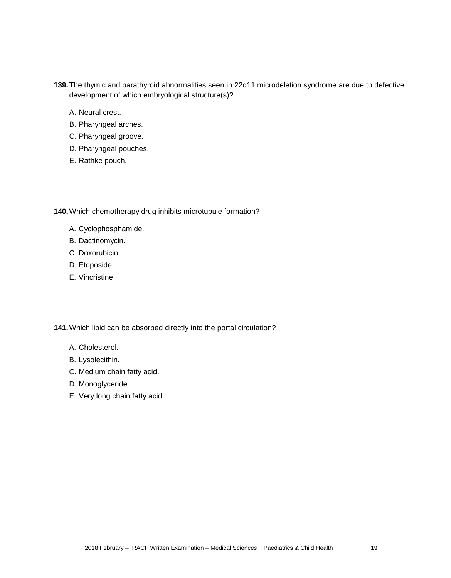- **139.**The thymic and parathyroid abnormalities seen in 22q11 microdeletion syndrome are due to defective development of which embryological structure(s)?
	- A. Neural crest.
	- B. Pharyngeal arches.
	- C. Pharyngeal groove.
	- D. Pharyngeal pouches.
	- E. Rathke pouch.

**140.**Which chemotherapy drug inhibits microtubule formation?

- A. Cyclophosphamide.
- B. Dactinomycin.
- C. Doxorubicin.
- D. Etoposide.
- E. Vincristine.

**141.**Which lipid can be absorbed directly into the portal circulation?

- A. Cholesterol.
- B. Lysolecithin.
- C. Medium chain fatty acid.
- D. Monoglyceride.
- E. Very long chain fatty acid.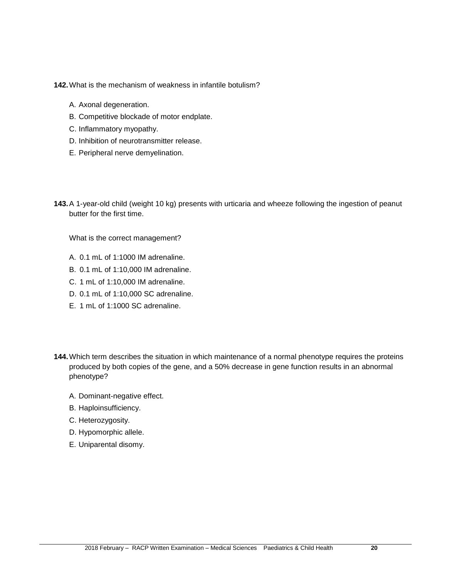**142.**What is the mechanism of weakness in infantile botulism?

- A. Axonal degeneration.
- B. Competitive blockade of motor endplate.
- C. Inflammatory myopathy.
- D. Inhibition of neurotransmitter release.
- E. Peripheral nerve demyelination.
- **143.**A 1-year-old child (weight 10 kg) presents with urticaria and wheeze following the ingestion of peanut butter for the first time.

What is the correct management?

- A. 0.1 mL of 1:1000 IM adrenaline.
- B. 0.1 mL of 1:10,000 IM adrenaline.
- C. 1 mL of 1:10,000 IM adrenaline.
- D. 0.1 mL of 1:10,000 SC adrenaline.
- E. 1 mL of 1:1000 SC adrenaline.
- **144.**Which term describes the situation in which maintenance of a normal phenotype requires the proteins produced by both copies of the gene, and a 50% decrease in gene function results in an abnormal phenotype?
	- A. Dominant-negative effect.
	- B. Haploinsufficiency.
	- C. Heterozygosity.
	- D. Hypomorphic allele.
	- E. Uniparental disomy.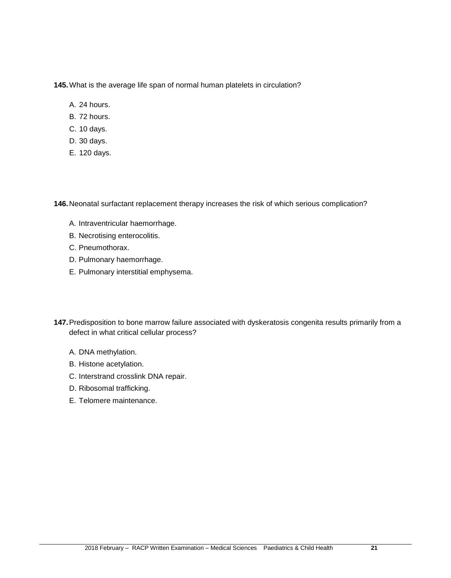**145.**What is the average life span of normal human platelets in circulation?

- A. 24 hours.
- B. 72 hours.
- C. 10 days.
- D. 30 days.
- E. 120 days.

**146.**Neonatal surfactant replacement therapy increases the risk of which serious complication?

- A. Intraventricular haemorrhage.
- B. Necrotising enterocolitis.
- C. Pneumothorax.
- D. Pulmonary haemorrhage.
- E. Pulmonary interstitial emphysema.
- **147.**Predisposition to bone marrow failure associated with dyskeratosis congenita results primarily from a defect in what critical cellular process?
	- A. DNA methylation.
	- B. Histone acetylation.
	- C. Interstrand crosslink DNA repair.
	- D. Ribosomal trafficking.
	- E. Telomere maintenance.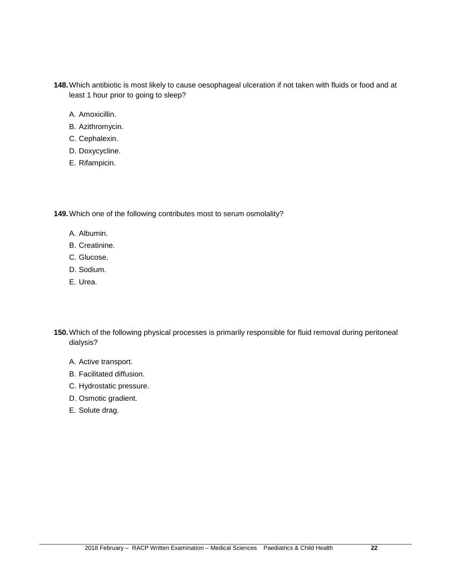- **148.**Which antibiotic is most likely to cause oesophageal ulceration if not taken with fluids or food and at least 1 hour prior to going to sleep?
	- A. Amoxicillin.
	- B. Azithromycin.
	- C. Cephalexin.
	- D. Doxycycline.
	- E. Rifampicin.

**149.**Which one of the following contributes most to serum osmolality?

- A. Albumin.
- B. Creatinine.
- C. Glucose.
- D. Sodium.
- E. Urea.
- **150.**Which of the following physical processes is primarily responsible for fluid removal during peritoneal dialysis?
	- A. Active transport.
	- B. Facilitated diffusion.
	- C. Hydrostatic pressure.
	- D. Osmotic gradient.
	- E. Solute drag.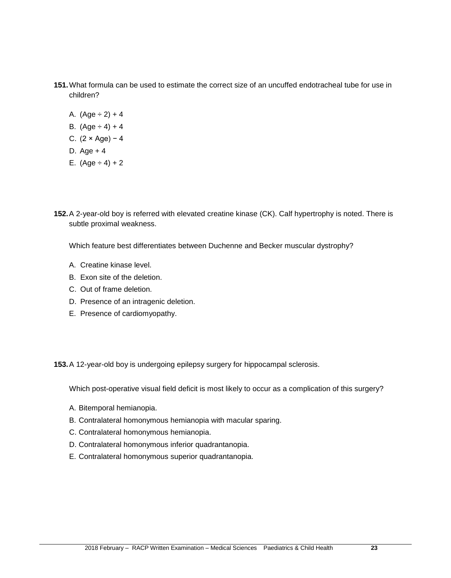- **151.**What formula can be used to estimate the correct size of an uncuffed endotracheal tube for use in children?
	- A.  $(Age \div 2) + 4$
	- B.  $(Age \div 4) + 4$
	- C. (2 × Age) − 4
	- D. Age + 4
	- E.  $(Age \div 4) + 2$

**152.**A 2-year-old boy is referred with elevated creatine kinase (CK). Calf hypertrophy is noted. There is subtle proximal weakness.

Which feature best differentiates between Duchenne and Becker muscular dystrophy?

- A. Creatine kinase level.
- B. Exon site of the deletion.
- C. Out of frame deletion.
- D. Presence of an intragenic deletion.
- E. Presence of cardiomyopathy.

**153.**A 12-year-old boy is undergoing epilepsy surgery for hippocampal sclerosis.

Which post-operative visual field deficit is most likely to occur as a complication of this surgery?

- A. Bitemporal hemianopia.
- B. Contralateral homonymous hemianopia with macular sparing.
- C. Contralateral homonymous hemianopia.
- D. Contralateral homonymous inferior quadrantanopia.
- E. Contralateral homonymous superior quadrantanopia.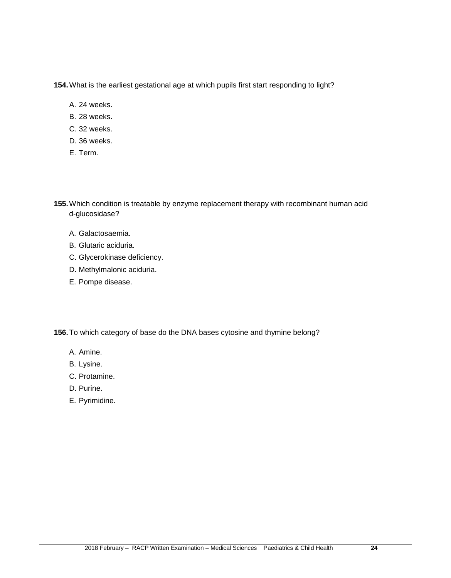**154.**What is the earliest gestational age at which pupils first start responding to light?

- A. 24 weeks.
- B. 28 weeks.
- C. 32 weeks.
- D. 36 weeks.
- E. Term.

**155.**Which condition is treatable by enzyme replacement therapy with recombinant human acid d-glucosidase?

- A. Galactosaemia.
- B. Glutaric aciduria.
- C. Glycerokinase deficiency.
- D. Methylmalonic aciduria.
- E. Pompe disease.

**156.**To which category of base do the DNA bases cytosine and thymine belong?

- A. Amine.
- B. Lysine.
- C. Protamine.
- D. Purine.
- E. Pyrimidine.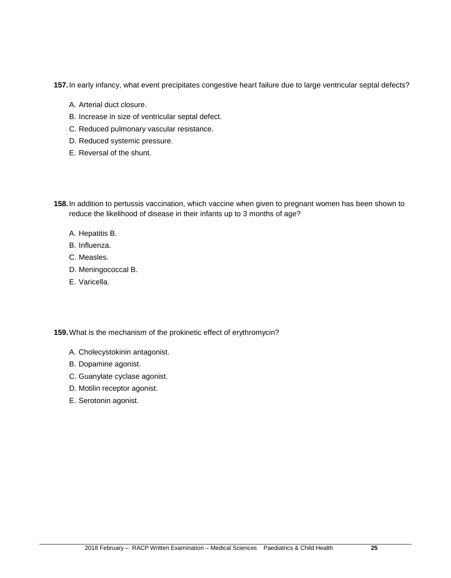**157.**In early infancy, what event precipitates congestive heart failure due to large ventricular septal defects?

- A. Arterial duct closure.
- B. Increase in size of ventricular septal defect.
- C. Reduced pulmonary vascular resistance.
- D. Reduced systemic pressure.
- E. Reversal of the shunt.
- **158.**In addition to pertussis vaccination, which vaccine when given to pregnant women has been shown to reduce the likelihood of disease in their infants up to 3 months of age?
	- A. Hepatitis B.
	- B. Influenza.
	- C. Measles.
	- D. Meningococcal B.
	- E. Varicella.

**159.**What is the mechanism of the prokinetic effect of erythromycin?

- A. Cholecystokinin antagonist.
- B. Dopamine agonist.
- C. Guanylate cyclase agonist.
- D. Motilin receptor agonist.
- E. Serotonin agonist.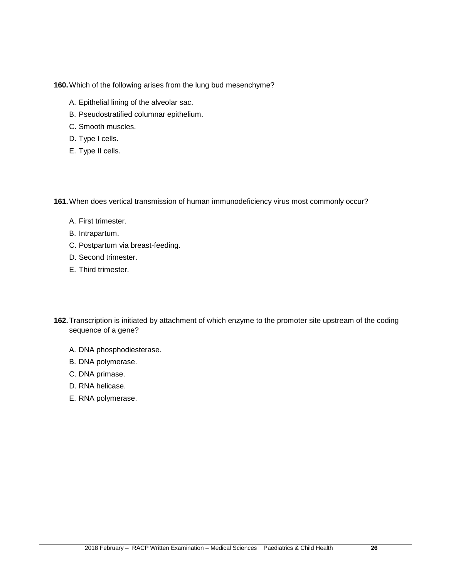**160.**Which of the following arises from the lung bud mesenchyme?

- A. Epithelial lining of the alveolar sac.
- B. Pseudostratified columnar epithelium.
- C. Smooth muscles.
- D. Type I cells.
- E. Type II cells.

**161.**When does vertical transmission of human immunodeficiency virus most commonly occur?

- A. First trimester.
- B. Intrapartum.
- C. Postpartum via breast-feeding.
- D. Second trimester.
- E. Third trimester.
- **162.**Transcription is initiated by attachment of which enzyme to the promoter site upstream of the coding sequence of a gene?
	- A. DNA phosphodiesterase.
	- B. DNA polymerase.
	- C. DNA primase.
	- D. RNA helicase.
	- E. RNA polymerase.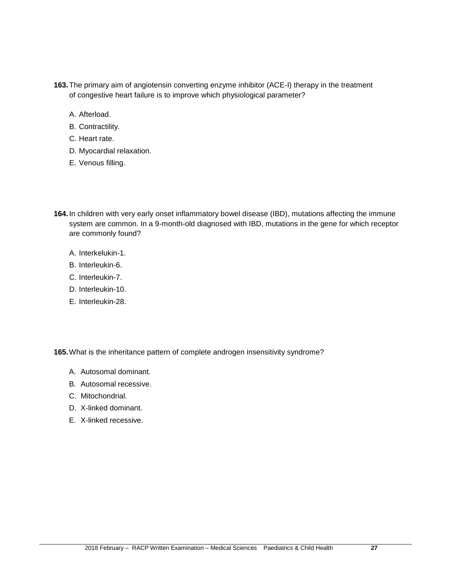- **163.**The primary aim of angiotensin converting enzyme inhibitor (ACE-I) therapy in the treatment of congestive heart failure is to improve which physiological parameter?
	- A. Afterload.
	- B. Contractility.
	- C. Heart rate.
	- D. Myocardial relaxation.
	- E. Venous filling.
- **164.**In children with very early onset inflammatory bowel disease (IBD), mutations affecting the immune system are common. In a 9-month-old diagnosed with IBD, mutations in the gene for which receptor are commonly found?
	- A. Interkelukin-1.
	- B. Interleukin-6.
	- C. Interleukin-7.
	- D. Interleukin-10.
	- E. Interleukin-28.

**165.**What is the inheritance pattern of complete androgen insensitivity syndrome?

- A. Autosomal dominant.
- B. Autosomal recessive.
- C. Mitochondrial.
- D. X-linked dominant.
- E. X-linked recessive.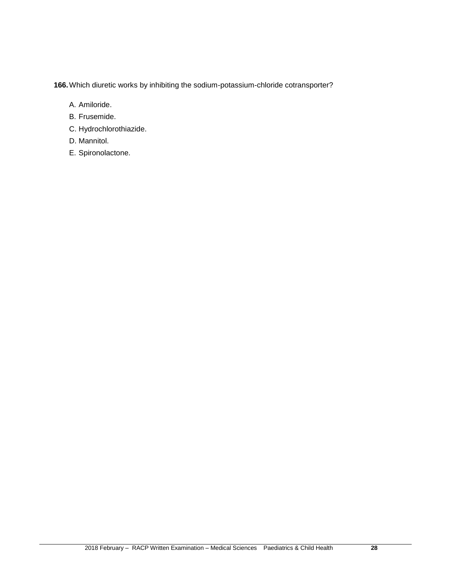**166.**Which diuretic works by inhibiting the sodium-potassium-chloride cotransporter?

- A. Amiloride.
- B. Frusemide.
- C. Hydrochlorothiazide.
- D. Mannitol.
- E. Spironolactone.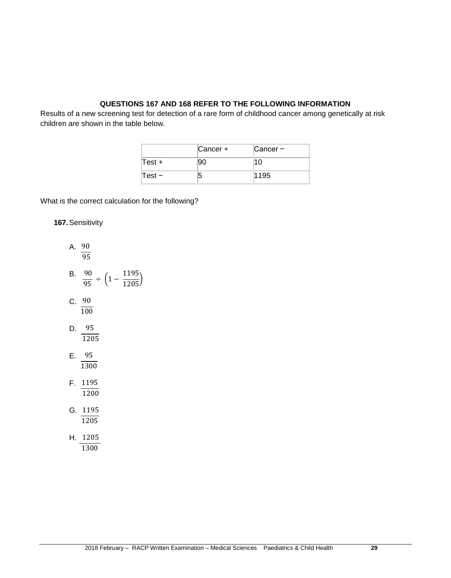## **QUESTIONS 167 AND 168 REFER TO THE FOLLOWING INFORMATION**

Results of a new screening test for detection of a rare form of childhood cancer among genetically at risk children are shown in the table below.

|          | Cancer + | $Cancer -$ |
|----------|----------|------------|
| $Test +$ | 90       | 10         |
| $Test -$ |          | 1195       |

What is the correct calculation for the following?

**167.**Sensitivity

| А. | 90<br>$\overline{95}$                                      |
|----|------------------------------------------------------------|
|    | B. $\frac{90}{95} \div \left(1 - \frac{1195}{1205}\right)$ |
| C. | 90<br>100                                                  |
|    | D. 95<br>1205                                              |
|    | E. 95<br>1300                                              |
|    | F. 1195<br>1200                                            |
| G. | 1195<br>1205                                               |
|    | H. 1205<br>1300                                            |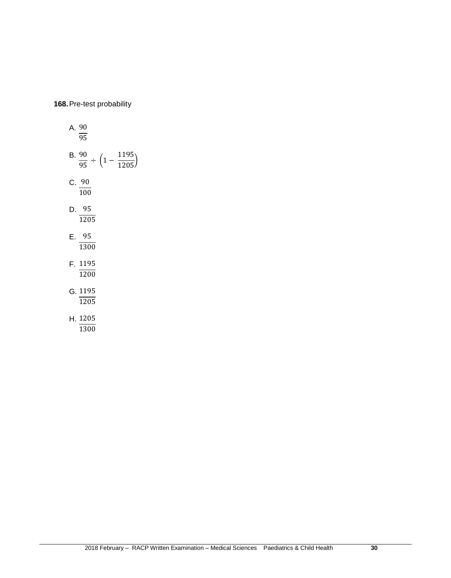**168.**Pre-test probability

| A. 90<br>$\overline{95}$                                   |
|------------------------------------------------------------|
| B. $\frac{90}{95} \div \left(1 - \frac{1195}{1205}\right)$ |
| C.90<br>100                                                |
| D. $\frac{95}{1205}$                                       |
| E. 95<br>1300                                              |
| F. 1195<br>1200                                            |
| G. 1195<br>$\frac{1205}{ }$                                |
| H. 1205<br>1300                                            |